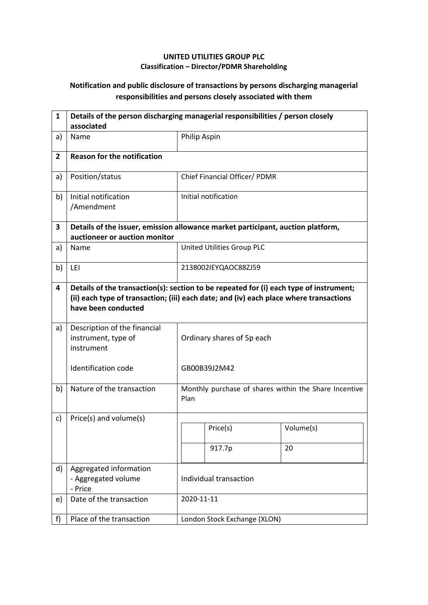## **UNITED UTILITIES GROUP PLC Classification – Director/PDMR Shareholding**

## **Notification and public disclosure of transactions by persons discharging managerial responsibilities and persons closely associated with them**

| $\mathbf{1}$   | Details of the person discharging managerial responsibilities / person closely<br>associated                                                                                                            |                              |                                                       |           |  |
|----------------|---------------------------------------------------------------------------------------------------------------------------------------------------------------------------------------------------------|------------------------------|-------------------------------------------------------|-----------|--|
| a)             | Name                                                                                                                                                                                                    |                              | Philip Aspin                                          |           |  |
| $\overline{2}$ | <b>Reason for the notification</b>                                                                                                                                                                      |                              |                                                       |           |  |
| a)             | Position/status                                                                                                                                                                                         |                              | Chief Financial Officer/ PDMR                         |           |  |
| b)             | Initial notification<br>/Amendment                                                                                                                                                                      |                              | Initial notification                                  |           |  |
| 3              | Details of the issuer, emission allowance market participant, auction platform,<br>auctioneer or auction monitor                                                                                        |                              |                                                       |           |  |
| a)             | Name                                                                                                                                                                                                    |                              | United Utilities Group PLC                            |           |  |
| b)             | LEI                                                                                                                                                                                                     |                              | 2138002IEYQAOC88ZJ59                                  |           |  |
| 4              | Details of the transaction(s): section to be repeated for (i) each type of instrument;<br>(ii) each type of transaction; (iii) each date; and (iv) each place where transactions<br>have been conducted |                              |                                                       |           |  |
| a)             | Description of the financial<br>instrument, type of<br>instrument                                                                                                                                       | Ordinary shares of 5p each   |                                                       |           |  |
|                | <b>Identification code</b>                                                                                                                                                                              |                              | GB00B39J2M42                                          |           |  |
| b)             | Nature of the transaction                                                                                                                                                                               | Plan                         | Monthly purchase of shares within the Share Incentive |           |  |
| c)             | Price(s) and volume(s)                                                                                                                                                                                  |                              |                                                       |           |  |
|                |                                                                                                                                                                                                         |                              | Price(s)                                              | Volume(s) |  |
|                |                                                                                                                                                                                                         |                              | 917.7p                                                | 20        |  |
| d)             | Aggregated information<br>- Aggregated volume<br>- Price                                                                                                                                                | Individual transaction       |                                                       |           |  |
| e)             | Date of the transaction                                                                                                                                                                                 | 2020-11-11                   |                                                       |           |  |
| f)             | Place of the transaction                                                                                                                                                                                | London Stock Exchange (XLON) |                                                       |           |  |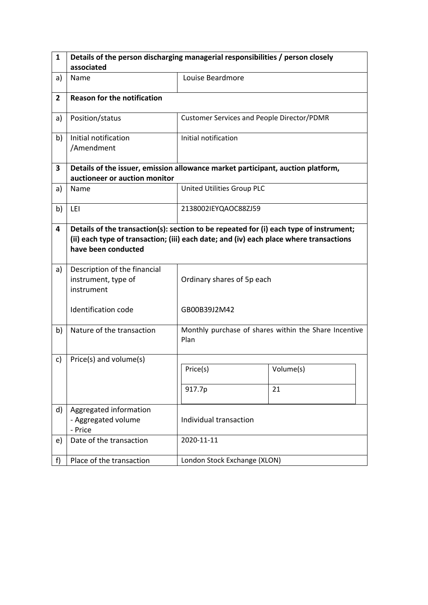| $\mathbf{1}$   | Details of the person discharging managerial responsibilities / person closely                                                                                                                          |                                                   |                                                       |  |  |
|----------------|---------------------------------------------------------------------------------------------------------------------------------------------------------------------------------------------------------|---------------------------------------------------|-------------------------------------------------------|--|--|
|                | associated                                                                                                                                                                                              |                                                   |                                                       |  |  |
| a)             | Name                                                                                                                                                                                                    | Louise Beardmore                                  |                                                       |  |  |
| $\overline{2}$ | <b>Reason for the notification</b>                                                                                                                                                                      |                                                   |                                                       |  |  |
| a)             | Position/status                                                                                                                                                                                         | <b>Customer Services and People Director/PDMR</b> |                                                       |  |  |
| b)             | Initial notification<br>/Amendment                                                                                                                                                                      | Initial notification                              |                                                       |  |  |
| 3              | Details of the issuer, emission allowance market participant, auction platform,<br>auctioneer or auction monitor                                                                                        |                                                   |                                                       |  |  |
| a)             | Name                                                                                                                                                                                                    | United Utilities Group PLC                        |                                                       |  |  |
| b)             | LEI                                                                                                                                                                                                     | 2138002IEYQAOC88ZJ59                              |                                                       |  |  |
| 4              | Details of the transaction(s): section to be repeated for (i) each type of instrument;<br>(ii) each type of transaction; (iii) each date; and (iv) each place where transactions<br>have been conducted |                                                   |                                                       |  |  |
| a)             | Description of the financial<br>instrument, type of<br>instrument                                                                                                                                       | Ordinary shares of 5p each                        |                                                       |  |  |
|                | Identification code                                                                                                                                                                                     | GB00B39J2M42                                      |                                                       |  |  |
| b)             | Nature of the transaction                                                                                                                                                                               | Plan                                              | Monthly purchase of shares within the Share Incentive |  |  |
| c)             | Price(s) and volume(s)                                                                                                                                                                                  |                                                   |                                                       |  |  |
|                |                                                                                                                                                                                                         | Price(s)                                          | Volume(s)                                             |  |  |
|                |                                                                                                                                                                                                         | 917.7p                                            | 21                                                    |  |  |
| d)             | Aggregated information<br>- Aggregated volume<br>- Price                                                                                                                                                | Individual transaction                            |                                                       |  |  |
| e)             | Date of the transaction                                                                                                                                                                                 | 2020-11-11                                        |                                                       |  |  |
| f)             | Place of the transaction                                                                                                                                                                                | London Stock Exchange (XLON)                      |                                                       |  |  |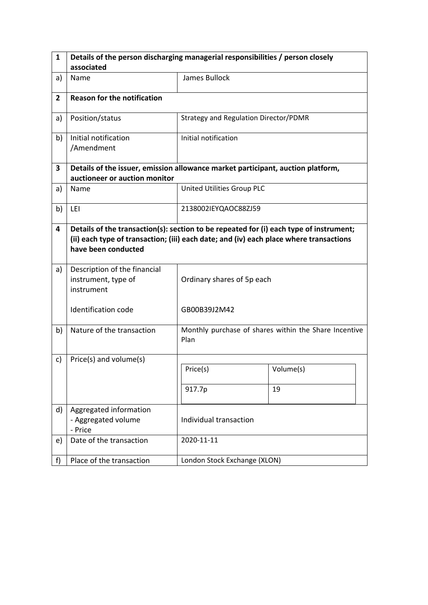| $\mathbf{1}$   | Details of the person discharging managerial responsibilities / person closely                                                                                                                          |                                       |                                                       |  |  |
|----------------|---------------------------------------------------------------------------------------------------------------------------------------------------------------------------------------------------------|---------------------------------------|-------------------------------------------------------|--|--|
|                | associated                                                                                                                                                                                              |                                       |                                                       |  |  |
| a)             | Name                                                                                                                                                                                                    | James Bullock                         |                                                       |  |  |
| $\overline{2}$ | <b>Reason for the notification</b>                                                                                                                                                                      |                                       |                                                       |  |  |
| a)             | Position/status                                                                                                                                                                                         | Strategy and Regulation Director/PDMR |                                                       |  |  |
| b)             | Initial notification<br>/Amendment                                                                                                                                                                      | Initial notification                  |                                                       |  |  |
| 3              | Details of the issuer, emission allowance market participant, auction platform,<br>auctioneer or auction monitor                                                                                        |                                       |                                                       |  |  |
| a)             | Name                                                                                                                                                                                                    | United Utilities Group PLC            |                                                       |  |  |
| b)             | LEI                                                                                                                                                                                                     | 2138002IEYQAOC88ZJ59                  |                                                       |  |  |
| 4              | Details of the transaction(s): section to be repeated for (i) each type of instrument;<br>(ii) each type of transaction; (iii) each date; and (iv) each place where transactions<br>have been conducted |                                       |                                                       |  |  |
| a)             | Description of the financial<br>instrument, type of<br>instrument                                                                                                                                       | Ordinary shares of 5p each            |                                                       |  |  |
|                | Identification code                                                                                                                                                                                     | GB00B39J2M42                          |                                                       |  |  |
| b)             | Nature of the transaction                                                                                                                                                                               | Plan                                  | Monthly purchase of shares within the Share Incentive |  |  |
| c)             | Price(s) and volume(s)                                                                                                                                                                                  |                                       |                                                       |  |  |
|                |                                                                                                                                                                                                         | Price(s)                              | Volume(s)                                             |  |  |
|                |                                                                                                                                                                                                         | 917.7p                                | 19                                                    |  |  |
| d)             | Aggregated information<br>- Aggregated volume<br>- Price                                                                                                                                                | Individual transaction                |                                                       |  |  |
| e)             | Date of the transaction                                                                                                                                                                                 | 2020-11-11                            |                                                       |  |  |
| f)             | Place of the transaction                                                                                                                                                                                | London Stock Exchange (XLON)          |                                                       |  |  |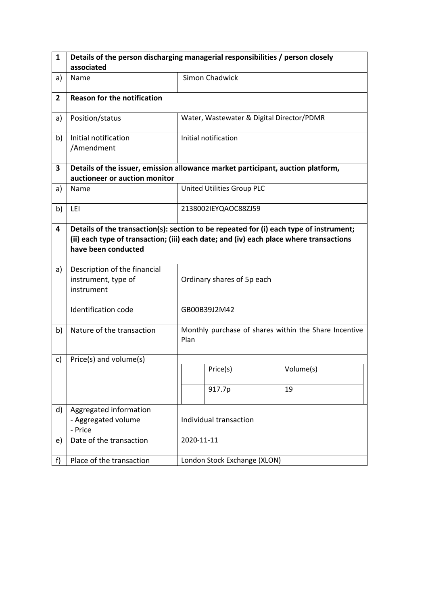| $\mathbf{1}$   | Details of the person discharging managerial responsibilities / person closely                                                                                                                          |                                                               |                                           |           |  |
|----------------|---------------------------------------------------------------------------------------------------------------------------------------------------------------------------------------------------------|---------------------------------------------------------------|-------------------------------------------|-----------|--|
|                | associated                                                                                                                                                                                              |                                                               |                                           |           |  |
| a)             | Name                                                                                                                                                                                                    |                                                               | Simon Chadwick                            |           |  |
| $\overline{2}$ | <b>Reason for the notification</b>                                                                                                                                                                      |                                                               |                                           |           |  |
| a)             | Position/status                                                                                                                                                                                         |                                                               | Water, Wastewater & Digital Director/PDMR |           |  |
| b)             | Initial notification<br>/Amendment                                                                                                                                                                      |                                                               | Initial notification                      |           |  |
| 3              | Details of the issuer, emission allowance market participant, auction platform,<br>auctioneer or auction monitor                                                                                        |                                                               |                                           |           |  |
| a)             | Name                                                                                                                                                                                                    |                                                               | United Utilities Group PLC                |           |  |
| b)             | LEI                                                                                                                                                                                                     |                                                               | 2138002IEYQAOC88ZJ59                      |           |  |
| 4              | Details of the transaction(s): section to be repeated for (i) each type of instrument;<br>(ii) each type of transaction; (iii) each date; and (iv) each place where transactions<br>have been conducted |                                                               |                                           |           |  |
| a)             | Description of the financial<br>instrument, type of<br>instrument                                                                                                                                       | Ordinary shares of 5p each                                    |                                           |           |  |
|                | <b>Identification code</b>                                                                                                                                                                              | GB00B39J2M42                                                  |                                           |           |  |
| b)             | Nature of the transaction                                                                                                                                                                               | Monthly purchase of shares within the Share Incentive<br>Plan |                                           |           |  |
| c)             | Price(s) and volume(s)                                                                                                                                                                                  |                                                               |                                           |           |  |
|                |                                                                                                                                                                                                         |                                                               | Price(s)                                  | Volume(s) |  |
|                |                                                                                                                                                                                                         |                                                               | 917.7p                                    | 19        |  |
| d)             | Aggregated information<br>- Aggregated volume<br>- Price                                                                                                                                                | Individual transaction                                        |                                           |           |  |
| e)             | Date of the transaction                                                                                                                                                                                 | 2020-11-11                                                    |                                           |           |  |
| f)             | Place of the transaction                                                                                                                                                                                | London Stock Exchange (XLON)                                  |                                           |           |  |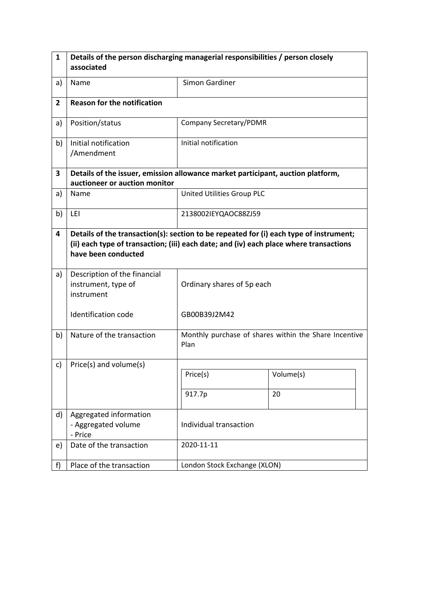| $\mathbf{1}$   | Details of the person discharging managerial responsibilities / person closely                                                                                                                          |                                                               |                        |  |  |
|----------------|---------------------------------------------------------------------------------------------------------------------------------------------------------------------------------------------------------|---------------------------------------------------------------|------------------------|--|--|
|                | associated                                                                                                                                                                                              |                                                               |                        |  |  |
| a)             | Name                                                                                                                                                                                                    | Simon Gardiner                                                |                        |  |  |
| $\overline{2}$ | <b>Reason for the notification</b>                                                                                                                                                                      |                                                               |                        |  |  |
| a)             | Position/status                                                                                                                                                                                         |                                                               | Company Secretary/PDMR |  |  |
| b)             | Initial notification<br>/Amendment                                                                                                                                                                      | Initial notification                                          |                        |  |  |
| 3              | Details of the issuer, emission allowance market participant, auction platform,<br>auctioneer or auction monitor                                                                                        |                                                               |                        |  |  |
| a)             | Name                                                                                                                                                                                                    | United Utilities Group PLC                                    |                        |  |  |
| b)             | LEI                                                                                                                                                                                                     | 2138002IEYQAOC88ZJ59                                          |                        |  |  |
| 4              | Details of the transaction(s): section to be repeated for (i) each type of instrument;<br>(ii) each type of transaction; (iii) each date; and (iv) each place where transactions<br>have been conducted |                                                               |                        |  |  |
| a)             | Description of the financial<br>instrument, type of<br>instrument                                                                                                                                       | Ordinary shares of 5p each                                    |                        |  |  |
|                | <b>Identification code</b>                                                                                                                                                                              | GB00B39J2M42                                                  |                        |  |  |
| b)             | Nature of the transaction                                                                                                                                                                               | Monthly purchase of shares within the Share Incentive<br>Plan |                        |  |  |
| c)             | Price(s) and volume(s)                                                                                                                                                                                  |                                                               |                        |  |  |
|                |                                                                                                                                                                                                         | Price(s)                                                      | Volume(s)              |  |  |
|                |                                                                                                                                                                                                         | 917.7p                                                        | 20                     |  |  |
| d)             | Aggregated information<br>- Aggregated volume<br>- Price                                                                                                                                                | Individual transaction                                        |                        |  |  |
| e)             | Date of the transaction                                                                                                                                                                                 | 2020-11-11                                                    |                        |  |  |
| f              | Place of the transaction                                                                                                                                                                                | London Stock Exchange (XLON)                                  |                        |  |  |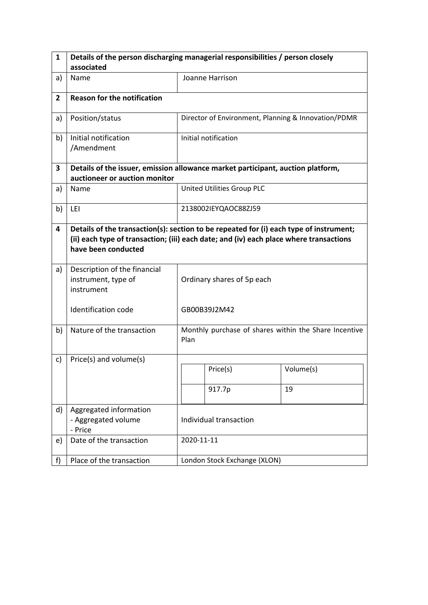| 1              | Details of the person discharging managerial responsibilities / person closely                                                                                                                          |                                                               |                            |                                                     |  |
|----------------|---------------------------------------------------------------------------------------------------------------------------------------------------------------------------------------------------------|---------------------------------------------------------------|----------------------------|-----------------------------------------------------|--|
|                | associated                                                                                                                                                                                              |                                                               |                            |                                                     |  |
| a)             | Name                                                                                                                                                                                                    |                                                               | Joanne Harrison            |                                                     |  |
| $\overline{2}$ | <b>Reason for the notification</b>                                                                                                                                                                      |                                                               |                            |                                                     |  |
| a)             | Position/status                                                                                                                                                                                         |                                                               |                            | Director of Environment, Planning & Innovation/PDMR |  |
| b)             | Initial notification<br>/Amendment                                                                                                                                                                      |                                                               | Initial notification       |                                                     |  |
| 3              | Details of the issuer, emission allowance market participant, auction platform,<br>auctioneer or auction monitor                                                                                        |                                                               |                            |                                                     |  |
| a)             | Name                                                                                                                                                                                                    |                                                               | United Utilities Group PLC |                                                     |  |
| b)             | LEI                                                                                                                                                                                                     |                                                               | 2138002IEYQAOC88ZJ59       |                                                     |  |
| 4              | Details of the transaction(s): section to be repeated for (i) each type of instrument;<br>(ii) each type of transaction; (iii) each date; and (iv) each place where transactions<br>have been conducted |                                                               |                            |                                                     |  |
| a)             | Description of the financial<br>instrument, type of<br>instrument                                                                                                                                       | Ordinary shares of 5p each                                    |                            |                                                     |  |
|                | <b>Identification code</b>                                                                                                                                                                              | GB00B39J2M42                                                  |                            |                                                     |  |
| b)             | Nature of the transaction                                                                                                                                                                               | Monthly purchase of shares within the Share Incentive<br>Plan |                            |                                                     |  |
| c)             | Price(s) and volume(s)                                                                                                                                                                                  |                                                               |                            |                                                     |  |
|                |                                                                                                                                                                                                         |                                                               | Price(s)                   | Volume(s)                                           |  |
|                |                                                                                                                                                                                                         |                                                               | 917.7p                     | 19                                                  |  |
| d)             | Aggregated information<br>- Aggregated volume<br>- Price                                                                                                                                                | Individual transaction                                        |                            |                                                     |  |
| e)             | Date of the transaction                                                                                                                                                                                 | 2020-11-11                                                    |                            |                                                     |  |
| f)             | Place of the transaction                                                                                                                                                                                | London Stock Exchange (XLON)                                  |                            |                                                     |  |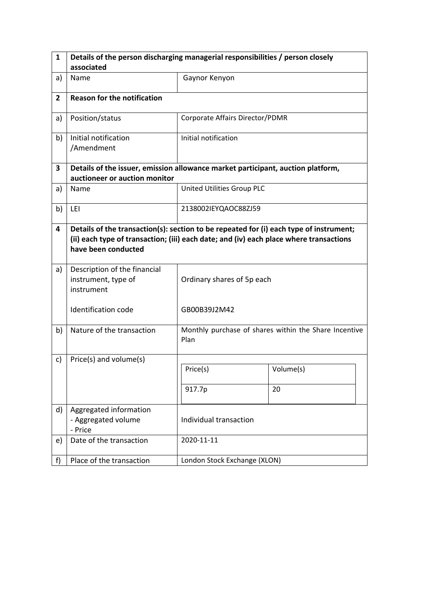| $\mathbf{1}$   | Details of the person discharging managerial responsibilities / person closely                                                                                                                          |                                 |                                                       |  |
|----------------|---------------------------------------------------------------------------------------------------------------------------------------------------------------------------------------------------------|---------------------------------|-------------------------------------------------------|--|
|                | associated                                                                                                                                                                                              |                                 |                                                       |  |
| a)             | Name                                                                                                                                                                                                    | Gaynor Kenyon                   |                                                       |  |
| $\overline{2}$ | <b>Reason for the notification</b>                                                                                                                                                                      |                                 |                                                       |  |
| a)             | Position/status                                                                                                                                                                                         | Corporate Affairs Director/PDMR |                                                       |  |
| b)             | Initial notification<br>/Amendment                                                                                                                                                                      | Initial notification            |                                                       |  |
| 3              | Details of the issuer, emission allowance market participant, auction platform,<br>auctioneer or auction monitor                                                                                        |                                 |                                                       |  |
| a)             | Name                                                                                                                                                                                                    | United Utilities Group PLC      |                                                       |  |
| b)             | LEI                                                                                                                                                                                                     | 2138002IEYQAOC88ZJ59            |                                                       |  |
| 4              | Details of the transaction(s): section to be repeated for (i) each type of instrument;<br>(ii) each type of transaction; (iii) each date; and (iv) each place where transactions<br>have been conducted |                                 |                                                       |  |
| a)             | Description of the financial<br>instrument, type of<br>instrument                                                                                                                                       | Ordinary shares of 5p each      |                                                       |  |
|                | <b>Identification code</b>                                                                                                                                                                              | GB00B39J2M42                    |                                                       |  |
| b)             | Nature of the transaction                                                                                                                                                                               | Plan                            | Monthly purchase of shares within the Share Incentive |  |
| c)             | Price(s) and volume(s)                                                                                                                                                                                  |                                 |                                                       |  |
|                |                                                                                                                                                                                                         | Price(s)                        | Volume(s)                                             |  |
|                |                                                                                                                                                                                                         | 917.7p                          | 20                                                    |  |
| d)             | Aggregated information<br>- Aggregated volume<br>- Price                                                                                                                                                | Individual transaction          |                                                       |  |
| e)             | Date of the transaction                                                                                                                                                                                 | 2020-11-11                      |                                                       |  |
| f)             | Place of the transaction                                                                                                                                                                                | London Stock Exchange (XLON)    |                                                       |  |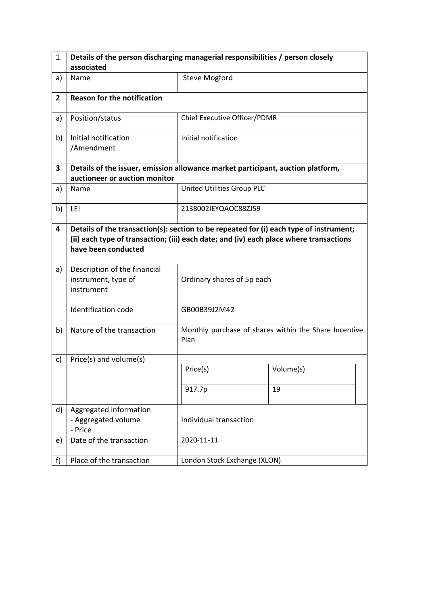| 1.             | Details of the person discharging managerial responsibilities / person closely                                                                                                                          |                              |                                                       |  |
|----------------|---------------------------------------------------------------------------------------------------------------------------------------------------------------------------------------------------------|------------------------------|-------------------------------------------------------|--|
|                | associated                                                                                                                                                                                              |                              |                                                       |  |
| a)             | Name                                                                                                                                                                                                    | <b>Steve Mogford</b>         |                                                       |  |
| $\overline{2}$ | <b>Reason for the notification</b>                                                                                                                                                                      |                              |                                                       |  |
| a)             | Position/status                                                                                                                                                                                         | Chief Executive Officer/PDMR |                                                       |  |
| b)             | Initial notification<br>/Amendment                                                                                                                                                                      | Initial notification         |                                                       |  |
| 3              | Details of the issuer, emission allowance market participant, auction platform,<br>auctioneer or auction monitor                                                                                        |                              |                                                       |  |
| a)             | Name                                                                                                                                                                                                    | United Utilities Group PLC   |                                                       |  |
| b)             | LEI                                                                                                                                                                                                     | 2138002IEYQAOC88ZJ59         |                                                       |  |
| 4              | Details of the transaction(s): section to be repeated for (i) each type of instrument;<br>(ii) each type of transaction; (iii) each date; and (iv) each place where transactions<br>have been conducted |                              |                                                       |  |
| a)             | Description of the financial<br>instrument, type of<br>instrument                                                                                                                                       | Ordinary shares of 5p each   |                                                       |  |
|                | <b>Identification code</b>                                                                                                                                                                              | GB00B39J2M42                 |                                                       |  |
| b)             | Nature of the transaction                                                                                                                                                                               | Plan                         | Monthly purchase of shares within the Share Incentive |  |
| c)             | Price(s) and volume(s)                                                                                                                                                                                  |                              |                                                       |  |
|                |                                                                                                                                                                                                         | Price(s)                     | Volume(s)                                             |  |
|                |                                                                                                                                                                                                         | 917.7p                       | 19                                                    |  |
| d)             | Aggregated information<br>- Aggregated volume<br>- Price                                                                                                                                                | Individual transaction       |                                                       |  |
| e)             | Date of the transaction                                                                                                                                                                                 | 2020-11-11                   |                                                       |  |
| f)             | Place of the transaction                                                                                                                                                                                | London Stock Exchange (XLON) |                                                       |  |